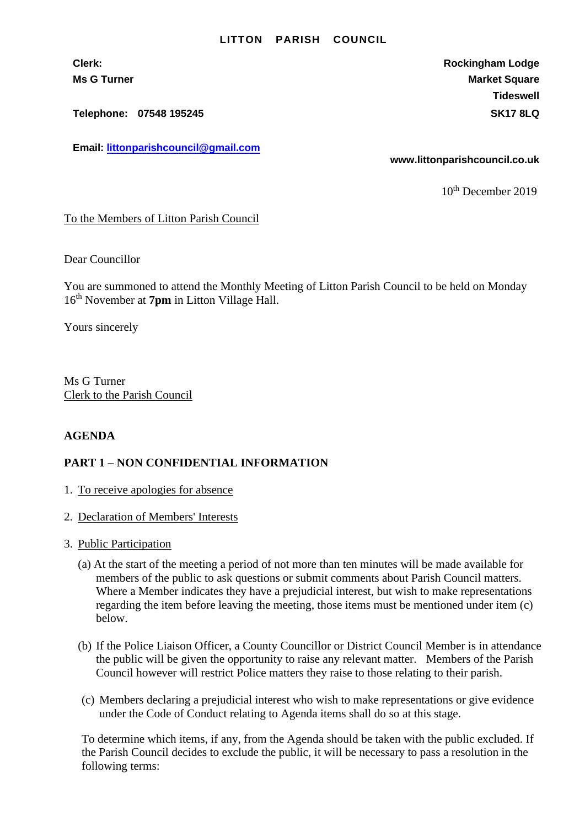## **LITTON PARISH COUNCIL**

**Telephone: 07548 195245 SK17 8LQ**

**Email: [littonparishcouncil@gmail.com](mailto:littonparishcouncil@gmail.com)**

**Clerk: Rockingham Lodge Ms G Turner Market Square** Market Square Market Square Market Square **Tideswell**

**www.littonparishcouncil.co.uk**

10<sup>th</sup> December 2019

To the Members of Litton Parish Council

Dear Councillor

You are summoned to attend the Monthly Meeting of Litton Parish Council to be held on Monday 16 th November at **7pm** in Litton Village Hall.

Yours sincerely

Ms G Turner Clerk to the Parish Council

## **AGENDA**

## **PART 1 – NON CONFIDENTIAL INFORMATION**

- 1. To receive apologies for absence
- 2. Declaration of Members' Interests
- 3. Public Participation
	- (a) At the start of the meeting a period of not more than ten minutes will be made available for members of the public to ask questions or submit comments about Parish Council matters. Where a Member indicates they have a prejudicial interest, but wish to make representations regarding the item before leaving the meeting, those items must be mentioned under item (c) below.
	- (b) If the Police Liaison Officer, a County Councillor or District Council Member is in attendance the public will be given the opportunity to raise any relevant matter. Members of the Parish Council however will restrict Police matters they raise to those relating to their parish.
	- (c) Members declaring a prejudicial interest who wish to make representations or give evidence under the Code of Conduct relating to Agenda items shall do so at this stage.

To determine which items, if any, from the Agenda should be taken with the public excluded. If the Parish Council decides to exclude the public, it will be necessary to pass a resolution in the following terms: